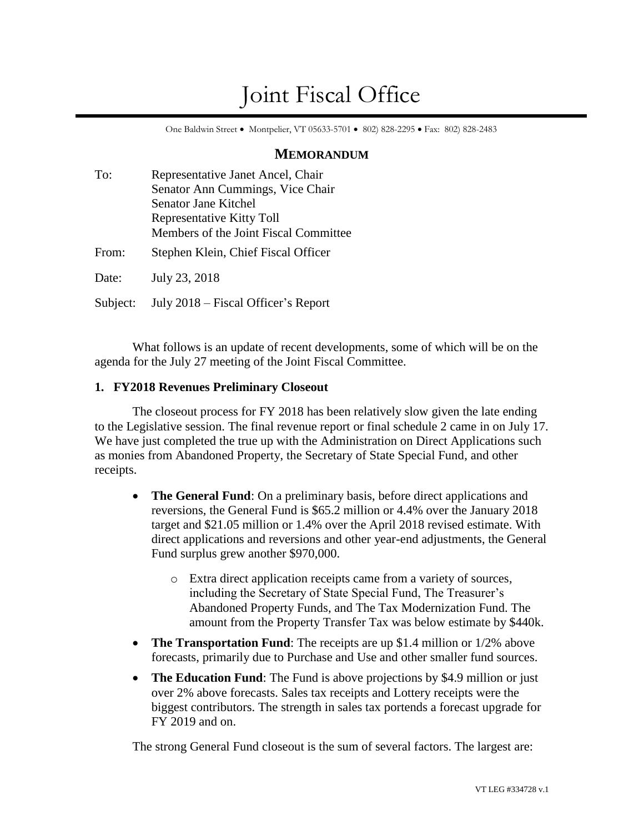# Joint Fiscal Office

One Baldwin Street • Montpelier, VT 05633-5701 • 802) 828-2295 • Fax: 802) 828-2483

## **MEMORANDUM**

| To:      | Representative Janet Ancel, Chair     |  |
|----------|---------------------------------------|--|
|          | Senator Ann Cummings, Vice Chair      |  |
|          | Senator Jane Kitchel                  |  |
|          | Representative Kitty Toll             |  |
|          | Members of the Joint Fiscal Committee |  |
| From:    | Stephen Klein, Chief Fiscal Officer   |  |
| Date:    | July 23, 2018                         |  |
| Subject: | July 2018 – Fiscal Officer's Report   |  |

What follows is an update of recent developments, some of which will be on the agenda for the July 27 meeting of the Joint Fiscal Committee.

# **1. FY2018 Revenues Preliminary Closeout**

The closeout process for FY 2018 has been relatively slow given the late ending to the Legislative session. The final revenue report or final schedule 2 came in on July 17. We have just completed the true up with the Administration on Direct Applications such as monies from Abandoned Property, the Secretary of State Special Fund, and other receipts.

- **The General Fund**: On a preliminary basis, before direct applications and reversions, the General Fund is \$65.2 million or 4.4% over the January 2018 target and \$21.05 million or 1.4% over the April 2018 revised estimate. With direct applications and reversions and other year-end adjustments, the General Fund surplus grew another \$970,000.
	- o Extra direct application receipts came from a variety of sources, including the Secretary of State Special Fund, The Treasurer's Abandoned Property Funds, and The Tax Modernization Fund. The amount from the Property Transfer Tax was below estimate by \$440k.
- **The Transportation Fund**: The receipts are up \$1.4 million or 1/2% above forecasts, primarily due to Purchase and Use and other smaller fund sources.
- **The Education Fund**: The Fund is above projections by \$4.9 million or just over 2% above forecasts. Sales tax receipts and Lottery receipts were the biggest contributors. The strength in sales tax portends a forecast upgrade for FY 2019 and on.

The strong General Fund closeout is the sum of several factors. The largest are: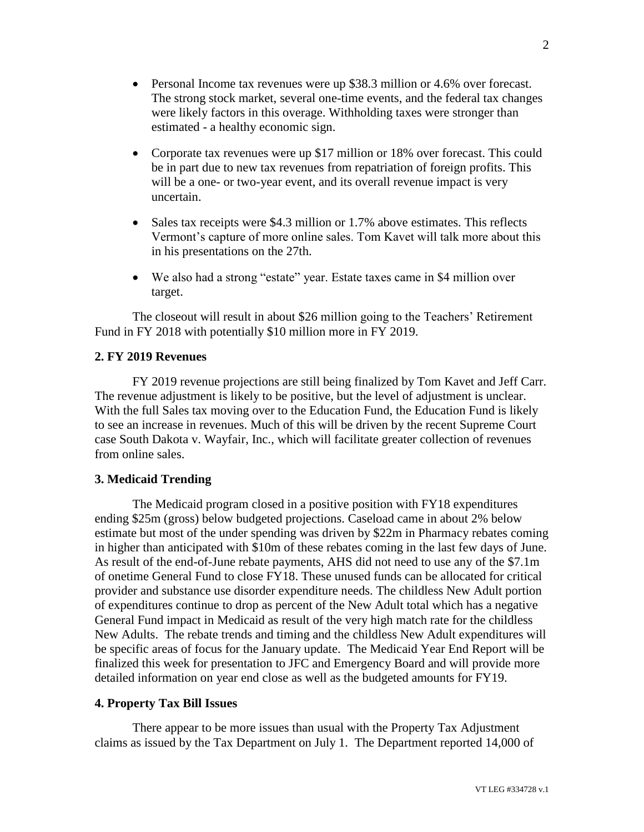- Personal Income tax revenues were up \$38.3 million or 4.6% over forecast. The strong stock market, several one-time events, and the federal tax changes were likely factors in this overage. Withholding taxes were stronger than estimated - a healthy economic sign.
- Corporate tax revenues were up \$17 million or 18% over forecast. This could be in part due to new tax revenues from repatriation of foreign profits. This will be a one- or two-year event, and its overall revenue impact is very uncertain.
- Sales tax receipts were \$4.3 million or 1.7% above estimates. This reflects Vermont's capture of more online sales. Tom Kavet will talk more about this in his presentations on the 27th.
- We also had a strong "estate" year. Estate taxes came in \$4 million over target.

The closeout will result in about \$26 million going to the Teachers' Retirement Fund in FY 2018 with potentially \$10 million more in FY 2019.

#### **2. FY 2019 Revenues**

FY 2019 revenue projections are still being finalized by Tom Kavet and Jeff Carr. The revenue adjustment is likely to be positive, but the level of adjustment is unclear. With the full Sales tax moving over to the Education Fund, the Education Fund is likely to see an increase in revenues. Much of this will be driven by the recent Supreme Court case [South Dakota v. Wayfair, Inc.,](https://www.google.com/url?sa=t&rct=j&q=&esrc=s&source=web&cd=1&cad=rja&uact=8&ved=0ahUKEwjZn9ny_KbcAhWI_YMKHcesBOYQFgg3MAA&url=https%3A%2F%2Fen.wikipedia.org%2Fwiki%2FSouth_Dakota_v._Wayfair%2C_Inc.&usg=AOvVaw0yQvapJO1hdt4xO2TRbY91) which will facilitate greater collection of revenues from online sales.

# **3. Medicaid Trending**

The Medicaid program closed in a positive position with FY18 expenditures ending \$25m (gross) below budgeted projections. Caseload came in about 2% below estimate but most of the under spending was driven by \$22m in Pharmacy rebates coming in higher than anticipated with \$10m of these rebates coming in the last few days of June. As result of the end-of-June rebate payments, AHS did not need to use any of the \$7.1m of onetime General Fund to close FY18. These unused funds can be allocated for critical provider and substance use disorder expenditure needs. The childless New Adult portion of expenditures continue to drop as percent of the New Adult total which has a negative General Fund impact in Medicaid as result of the very high match rate for the childless New Adults. The rebate trends and timing and the childless New Adult expenditures will be specific areas of focus for the January update. The Medicaid Year End Report will be finalized this week for presentation to JFC and Emergency Board and will provide more detailed information on year end close as well as the budgeted amounts for FY19.

#### **4. Property Tax Bill Issues**

There appear to be more issues than usual with the Property Tax Adjustment claims as issued by the Tax Department on July 1. The Department reported 14,000 of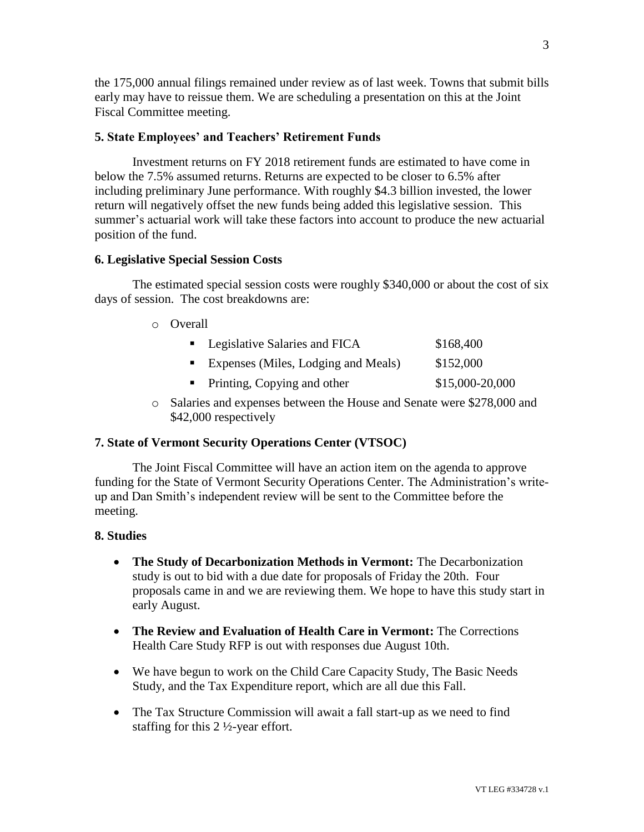the 175,000 annual filings remained under review as of last week. Towns that submit bills early may have to reissue them. We are scheduling a presentation on this at the Joint Fiscal Committee meeting.

## **5. State Employees' and Teachers' Retirement Funds**

Investment returns on FY 2018 retirement funds are estimated to have come in below the 7.5% assumed returns. Returns are expected to be closer to 6.5% after including preliminary June performance. With roughly \$4.3 billion invested, the lower return will negatively offset the new funds being added this legislative session. This summer's actuarial work will take these factors into account to produce the new actuarial position of the fund.

#### **6. Legislative Special Session Costs**

The estimated special session costs were roughly \$340,000 or about the cost of six days of session. The cost breakdowns are:

o Overall

| • Legislative Salaries and FICA       | \$168,400       |
|---------------------------------------|-----------------|
| ■ Expenses (Miles, Lodging and Meals) | \$152,000       |
| • Printing, Copying and other         | \$15,000-20,000 |

o Salaries and expenses between the House and Senate were \$278,000 and \$42,000 respectively

# **7. State of Vermont Security Operations Center (VTSOC)**

The Joint Fiscal Committee will have an action item on the agenda to approve funding for the State of Vermont Security Operations Center. The Administration's writeup and Dan Smith's independent review will be sent to the Committee before the meeting.

#### **8. Studies**

- **The Study of Decarbonization Methods in Vermont:** The Decarbonization study is out to bid with a due date for proposals of Friday the 20th. Four proposals came in and we are reviewing them. We hope to have this study start in early August.
- **The Review and Evaluation of Health Care in Vermont:** The Corrections Health Care Study RFP is out with responses due August 10th.
- We have begun to work on the Child Care Capacity Study, The Basic Needs Study, and the Tax Expenditure report, which are all due this Fall.
- The Tax Structure Commission will await a fall start-up as we need to find staffing for this 2 ½-year effort.